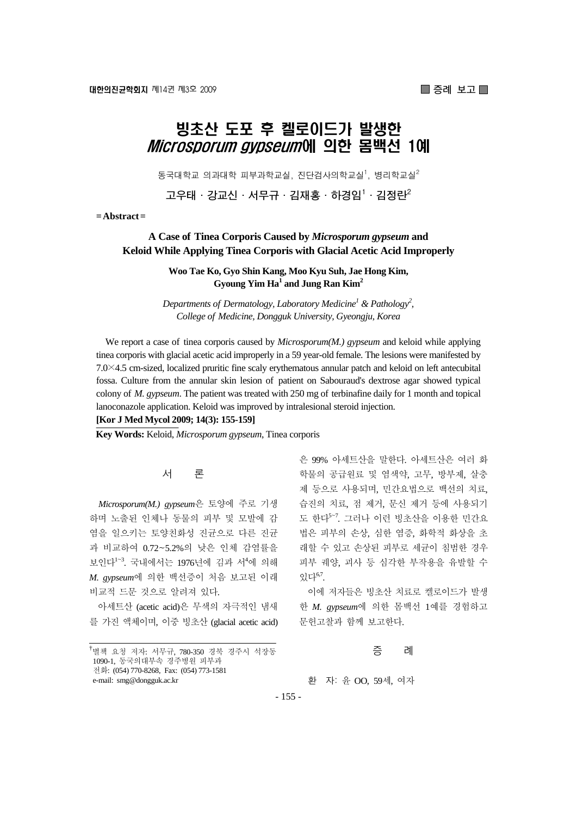# 빙초산 도포 후 켈로이드가 발생한 *Microsporum gypseum*에 의한 몸백전 1예

동국대학교 의과대학 피부과학교실, 진단검사의학교실<sup>1</sup>, 병리학교실 $^2$ 

**고우태·강교신·서무규·김재홍·하경임1 ·김정란2**

**= Abstract =** 

## **A Case of Tinea Corporis Caused by** *Microsporum gypseum* **and Keloid While Applying Tinea Corporis with Glacial Acetic Acid Improperly**

**Woo Tae Ko, Gyo Shin Kang, Moo Kyu Suh, Jae Hong Kim,**  Gyoung Yim Ha<sup>1</sup> and Jung Ran Kim<sup>2</sup>

*Departments of Dermatology, Laboratory Medicine<sup>1</sup> & Pathology<sup>2</sup>, College of Medicine, Dongguk University, Gyeongju, Korea* 

We report a case of tinea corporis caused by *Microsporum(M.) gypseum* and keloid while applying tinea corporis with glacial acetic acid improperly in a 59 year-old female. The lesions were manifested by 7.0×4.5 cm-sized, localized pruritic fine scaly erythematous annular patch and keloid on left antecubital fossa. Culture from the annular skin lesion of patient on Sabouraud's dextrose agar showed typical colony of *M. gypseum*. The patient was treated with 250 mg of terbinafine daily for 1 month and topical lanoconazole application. Keloid was improved by intralesional steroid injection.

**[Kor J Med Mycol 2009; 14(3): 155-159]**

**Key Words:** Keloid, *Microsporum gypseum*, Tinea corporis

## 서 론

*Microsporum(M.) gypseum*은 토양에 주로 기생 하며 노출된 인체나 동물의 피부 및 모발에 감 염을 일으키는 토양친화성 진균으로 다른 진균 과 비교하여 0.72~5.2%의 낮은 인체 감염률을 보인다<sup>1~3</sup>. 국내에서는 1976년에 김과 서<sup>4</sup>에 의해 *M. gypseum*에 의한 백선증이 처음 보고된 이래 비교적 드문 것으로 알려져 있다.

아세트산 (acetic acid)은 무색의 자극적인 냄새 를 가진 액체이며, 이중 빙초산 (glacial acetic acid)

은 99% 아세트산을 말한다. 아세트산은 여러 화 학물의 공급원료 및 염색약, 고무, 방부제, 살충 제 등으로 사용되며, 민간요법으로 백선의 치료, 습진의 치료, 점 제거, 문신 제거 등에 사용되기 도 한다<sup>5</sup>~<sup>7</sup> . 그러나 이런 빙초산을 이용한 민간요 법은 피부의 손상, 심한 염증, 화학적 화상을 초 래할 수 있고 손상된 피부로 세균이 침범한 경우 피부 궤양, 괴사 등 심각한 부작용을 유발할 수  $Q$ 다 $^{6,7}$ .

이에 저자들은 빙초산 치료로 켈로이드가 발생 한 *M. gypseum*에 의한 몸백선 1예를 경험하고 문헌고찰과 함께 보고한다.

#### 증 례

환 자: 윤 OO, 59세, 여자

- 155 -

<sup>&</sup>lt;sup>†</sup>별책 요청 저자: 서무규, 780-350 경북 경주시 석장동 1090-1, 동국의대부속 경주병원 피부과 전화: (054) 770-8268, Fax: (054) 773-1581 e-mail: smg@dongguk.ac.kr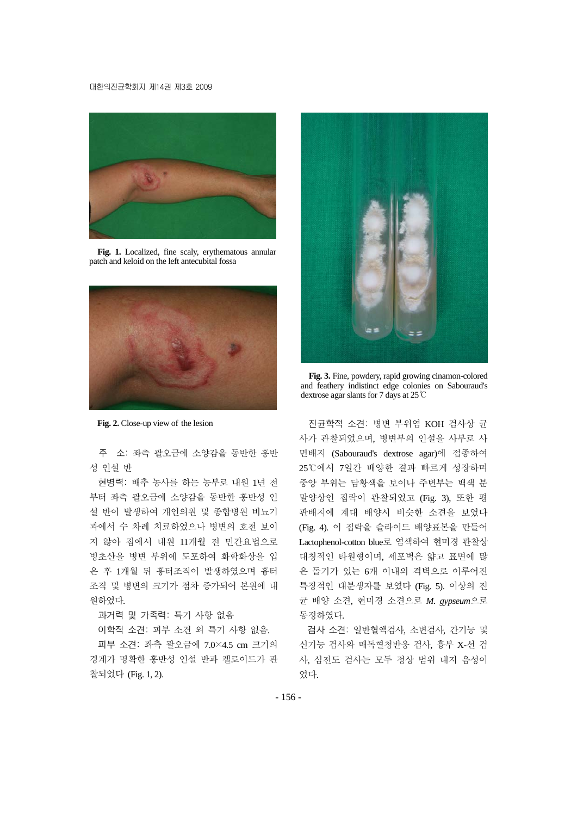#### 대한의진균학회지 제14권 제3호 2009



**Fig. 1.** Localized, fine scaly, erythematous annular patch and keloid on the left antecubital fossa



**Fig. 2.** Close-up view of the lesion

주 소: 좌측 팔오금에 소양감을 동반한 홍반 성 인설 반

현병력: 배추 농사를 하는 농부로 내원 1년 전 부터 좌측 팔오금에 소양감을 동반한 홍반성 인 설 반이 발생하여 개인의원 및 종합병원 비뇨기 과에서 수 차례 치료하였으나 병변의 호전 보이 지 않아 집에서 내원 11개월 전 민간요법으로 빙초산을 병변 부위에 도포하여 화학화상을 입 은 후 1개월 뒤 흉터조직이 발생하였으며 흉터 조직 및 병변의 크기가 점차 증가되어 본원에 내 원하였다.

과거력 및 가족력: 특기 사항 없음

이학적 소견: 피부 소견 외 특기 사항 없음.

피부 소견: 좌측 팔오금에 7.0×4.5 cm 크기의 경계가 명확한 홍반성 인설 반과 켈로이드가 관 찰되었다 (Fig. 1, 2).



**Fig. 3.** Fine, powdery, rapid growing cinamon-colored and feathery indistinct edge colonies on Sabouraud's dextrose agar slants for 7 days at 25℃

진균학적 소견: 병변 부위염 KOH 검사상 균 사가 관찰되었으며, 병변부의 인설을 사부로 사 면배지 (Sabouraud's dextrose agar)에 접종하여 25℃에서 7일간 배양한 결과 빠르게 성장하며 중앙 부위는 담황색을 보이나 주변부는 백색 분 말양상인 집락이 관찰되었고 (Fig. 3), 또한 평 판배지에 계대 배양시 비슷한 소견을 보였다 (Fig. 4). 이 집락을 슬라이드 배양표본을 만들어 Lactophenol-cotton blue로 염색하여 현미경 관찰상 대칭적인 타원형이며, 세포벽은 얇고 표면에 많 은 돌기가 있는 6개 이내의 격벽으로 이루어진 특징적인 대분생자를 보였다 (Fig. 5). 이상의 진 균 배양 소견, 현미경 소견으로 *M. gypseum*으로 동정하였다.

검사 소견: 일반혈액검사, 소변검사, 간기능 및 신기능 검사와 매독혈청반응 검사, 흉부 X-선 검 사, 심전도 검사는 모두 정상 범위 내지 음성이 었다.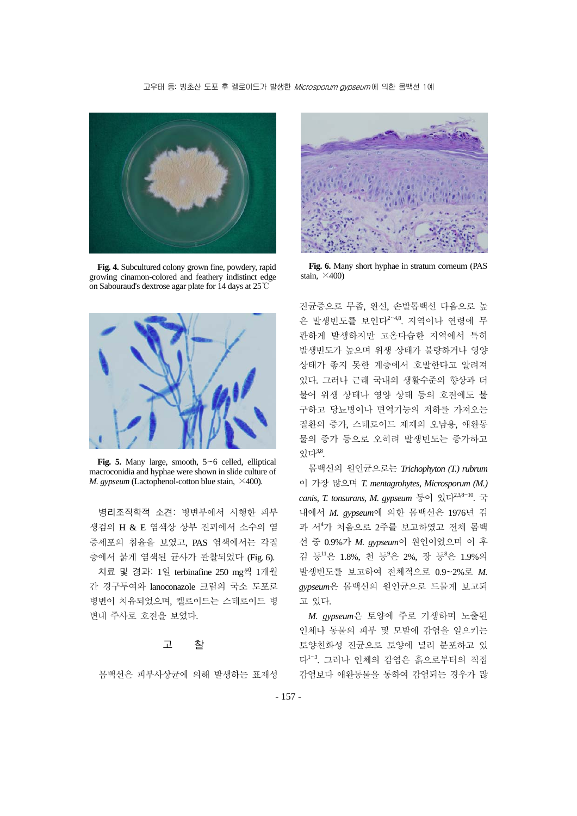#### 고우태 등: 빙초산 도포 후 켈로이드가 발생한 Microsporum gypseum에 의한 몸백선 1예



**Fig. 4.** Subcultured colony grown fine, powdery, rapid growing cinamon-colored and feathery indistinct edge on Sabouraud's dextrose agar plate for 14 days at 25℃



**Fig. 5.** Many large, smooth, 5~6 celled, elliptical macroconidia and hyphae were shown in slide culture of *M. gypseum* (Lactophenol-cotton blue stain,  $\times$ 400).

병리조직학적 소견: 병변부에서 시행한 피부 생검의 H & E 염색상 상부 진피에서 소수의 염 증세포의 침윤을 보였고, PAS 염색에서는 각질 층에서 붉게 염색된 균사가 관찰되었다 (Fig. 6).

치료 및 경과: 1일 terbinafine 250 mg씩 1개월 간 경구투여와 lanoconazole 크림의 국소 도포로 병변이 치유되었으며, 켈로이드는 스테로이드 병 변내 주사로 호전을 보였다.

### 고 찰

몸백선은 피부사상균에 의해 발생하는 표재성



**Fig. 6.** Many short hyphae in stratum corneum (PAS stain,  $\times$ 400)

진균증으로 무좀, 완선, 손발톱백선 다음으로 높 은 발생빈도를 보인다<sup>2</sup><sup>~</sup>4,8. 지역이나 연령에 무 관하게 발생하지만 고온다습한 지역에서 특히 발생빈도가 높으며 위생 상태가 불량하거나 영양 상태가 좋지 못한 계층에서 호발한다고 알려져 있다. 그러나 근래 국내의 생활수준의 향상과 더 불어 위생 상태나 영양 상태 등의 호전에도 불 구하고 당뇨병이나 면역기능의 저하를 가져오는 질환의 증가, 스테로이드 제제의 오남용, 애완동 물의 증가 등으로 오히려 발생빈도는 증가하고  $Q_L^3L^{3,8}$ .

몸백선의 원인균으로는 *Trichophyton (T.) rubrum* 이 가장 많으며 *T. mentagrohytes*, *Microsporum (M.) canis*, *T. tonsurans*, *M. gypseum* 등이 있다2,3,8<sup>~</sup>10. 국 내에서 *M. gypseum*에 의한 몸백선은 1976년 김 과 서<sup>4</sup> 가 처음으로 2주를 보고하였고 전체 몸백 선 중 0.9%가 *M. gypseum*이 원인이었으며 이 후 김 등 ! 은 1.8%, 천 등 '은 2%, 장 등 '은 1.9% 의 발생빈도를 보고하여 전체적으로 0.9~2%로 *M. gypseum*은 몸백선의 원인균으로 드물게 보고되 고 있다.

*M. gypseum*은 토양에 주로 기생하며 노출된 인체나 동물의 피부 및 모발에 감염을 일으키는 토양친화성 진균으로 토양에 널리 분포하고 있 다<sup>1</sup>~<sup>3</sup> . 그러나 인체의 감염은 흙으로부터의 직접 감염보다 애완동물을 통하여 감염되는 경우가 많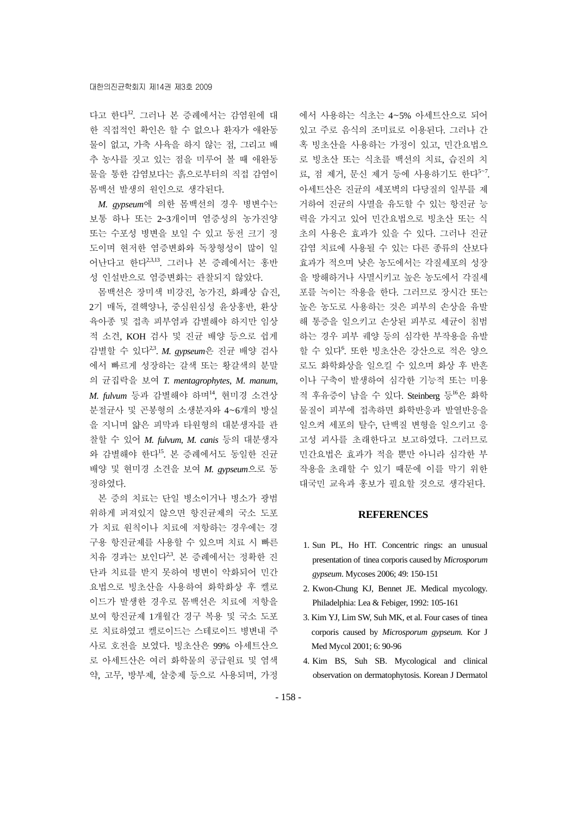다고 한다12. 그러나 본 증례에서는 감염원에 대 한 직접적인 확인은 할 수 없으나 환자가 애완동 물이 없고, 가축 사육을 하지 않는 점, 그리고 배 추 농사를 짓고 있는 점을 미루어 볼 때 애완동 물을 통한 감염보다는 흙으로부터의 직접 감염이 몸백선 발생의 원인으로 생각된다.

*M. gypseum*에 의한 몸백선의 경우 병변수는 보통 하나 또는 2~3개이며 염증성의 농가진양 또는 수포성 병변을 보일 수 있고 동전 크기 정 도이며 현저한 염증변화와 독창형성이 많이 일 어난다고 한다2,3,13. 그러나 본 증례에서는 홍반 성 인설반으로 염증변화는 관찰되지 않았다.

몸백선은 장미색 비강진, 농가진, 화폐상 습진, 2기 매독, 결핵양나, 중심원심성 윤상홍반, 환상 육아종 및 접촉 피부염과 감별해야 하지만 임상 적 소견, KOH 검사 및 진균 배양 등으로 쉽게 감별할 수 있다2,3. *M. gypseum*은 진균 배양 검사 에서 빠르게 성장하는 갈색 또는 황갈색의 분말 의 균집락을 보여 *T. mentagrophytes*, *M. manum*, *M. fulvum* 등과 감별해야 하며14, 현미경 소견상 분절균사 및 곤봉형의 소생분자와 4~6개의 방실 을 지니며 얇은 피막과 타원형의 대분생자를 관 찰할 수 있어 *M. fulvum*, *M. canis* 등의 대분생자 와 감별해야 한다15. 본 증례에서도 동일한 진균 배양 및 현미경 소견을 보여 *M. gypseum*으로 동 정하였다.

본 증의 치료는 단일 병소이거나 병소가 광범 위하게 퍼져있지 않으면 항진균제의 국소 도포 가 치료 원칙이나 치료에 저항하는 경우에는 경 구용 항진균제를 사용할 수 있으며 치료 시 빠른 치유 경과는 보인다<sup>23</sup>. 본 증례에서는 정확한 진 단과 치료를 받지 못하여 병변이 악화되어 민간 요법으로 빙초산을 사용하여 화학화상 후 켈로 이드가 발생한 경우로 몸백선은 치료에 저항을 보여 항진균제 1개월간 경구 복용 및 국소 도포 로 치료하였고 켈로이드는 스테로이드 병변내 주 사로 호전을 보였다. 빙초산은 99% 아세트산으 로 아세트산은 여러 화학물의 공급원료 및 염색 약, 고무, 방부제, 살충제 등으로 사용되며, 가정

에서 사용하는 식초는 4~5% 아세트산으로 되어 있고 주로 음식의 조미료로 이용된다. 그러나 간 혹 빙초산을 사용하는 가정이 있고, 민간요법으 로 빙초산 또는 식초를 백선의 치료, 습진의 치 료, 점 제거, 문신 제거 등에 사용하기도 한다<sup>5~7</sup>. 아세트산은 진균의 세포벽의 다당질의 일부를 제 거하여 진균의 사멸을 유도할 수 있는 항진균 능 력을 가지고 있어 민간요법으로 빙초산 또는 식 초의 사용은 효과가 있을 수 있다. 그러나 진균 감염 치료에 사용될 수 있는 다른 종류의 산보다 효과가 적으며 낮은 농도에서는 각질세포의 성장 을 방해하거나 사멸시키고 높은 농도에서 각질세 포를 녹이는 작용을 한다. 그러므로 장시간 또는 높은 농도로 사용하는 것은 피부의 손상을 유발 해 통증을 일으키고 손상된 피부로 세균이 침범 하는 경우 피부 궤양 등의 심각한 부작용을 유발 할 수 있다<sup>6</sup>. 또한 빙초산은 강산으로 적은 양으 로도 화학화상을 일으킬 수 있으며 화상 후 반흔 이나 구축이 발생하여 심각한 기능적 또는 미용 적 후유증이 남을 수 있다. Steinberg 등<sup>16</sup>은 화학 물질이 피부에 접촉하면 화학반응과 발열반응을 일으켜 세포의 탈수, 단백질 변형을 일으키고 응 고성 괴사를 초래한다고 보고하였다. 그러므로 민간요법은 효과가 적을 뿐만 아니라 심각한 부 작용을 초래할 수 있기 때문에 이를 막기 위한 대국민 교육과 홍보가 필요할 것으로 생각된다.

## **REFERENCES**

- 1. Sun PL, Ho HT. Concentric rings: an unusual presentation of tinea corporis caused by *Microsporum gypseum*. Mycoses 2006; 49: 150-151
- 2. Kwon-Chung KJ, Bennet JE. Medical mycology. Philadelphia: Lea & Febiger, 1992: 105-161
- 3. Kim YJ, Lim SW, Suh MK, et al. Four cases of tinea corporis caused by *Microsporum gypseum.* Kor J Med Mycol 2001; 6: 90-96
- 4. Kim BS, Suh SB. Mycological and clinical observation on dermatophytosis. Korean J Dermatol